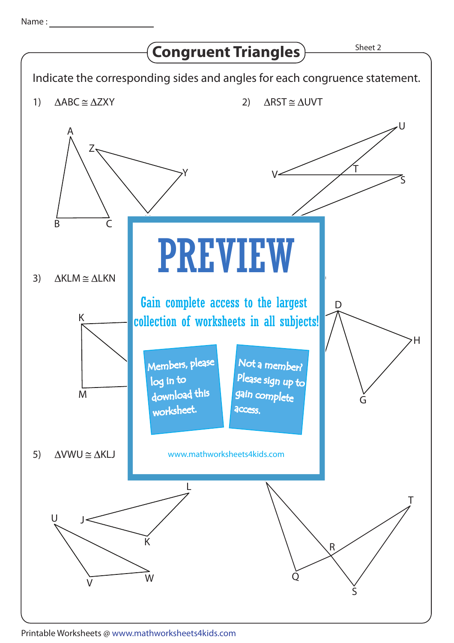